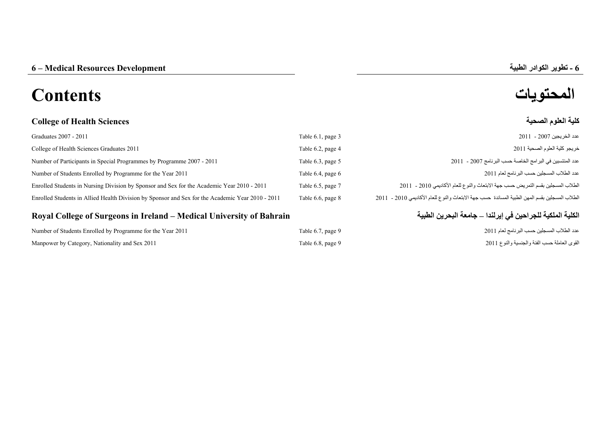# **المحتويات Contents**

# **College of Health Sciences الصحية العلوم كلية**

| Graduates 2007 - 2011                                                                            | Table 6.1, page 3 | عدد الخريجين 2007 - 2011                                                                       |
|--------------------------------------------------------------------------------------------------|-------------------|------------------------------------------------------------------------------------------------|
| College of Health Sciences Graduates 2011                                                        | Table 6.2, page 4 | خريجو كلية العلوم الصحية 2011                                                                  |
| Number of Participants in Special Programmes by Programme 2007 - 2011                            | Table 6.3, page 5 | عدد المنتسبين في البر امج الخاصة حسب البر نامج 2007 - 2011                                     |
| Number of Students Enrolled by Programme for the Year 2011                                       | Table 6.4, page 6 | عدد الطلاب المسجلين حسب البر نامج لعام 2011                                                    |
| Enrolled Students in Nursing Division by Sponsor and Sex for the Academic Year 2010 - 2011       | Table 6.5, page 7 | الطلاب المسجلين بقسم التمريض حسب جهة الابتعاث والنوع للعام الأكاديمي 2010 - 2011               |
| Enrolled Students in Allied Health Division by Sponsor and Sex for the Academic Year 2010 - 2011 | Table 6.6, page 8 | الطلاب المسجلين بقسم المهن الطبية المساندة حسب جهة الابتعاث والنوع للعام الأكاديمي 2010 - 2011 |

## Royal College of Surgeons in Ireland – Medical University of Bahrain

| Number of Students Enrolled by Programme for the Year 2011 | Table 6.7, page 9 | عدد الطلاب المسجلين حسب البر نامج لعام 2011  |
|------------------------------------------------------------|-------------------|----------------------------------------------|
| Manpower by Category, Nationality and Sex 2011             | Table 6.8, page 9 | القوى العاملة حسب الفئة والجنسية والنوع 2011 |

# **الكلية الملكية للجراحين في إيرلندا –**

**-**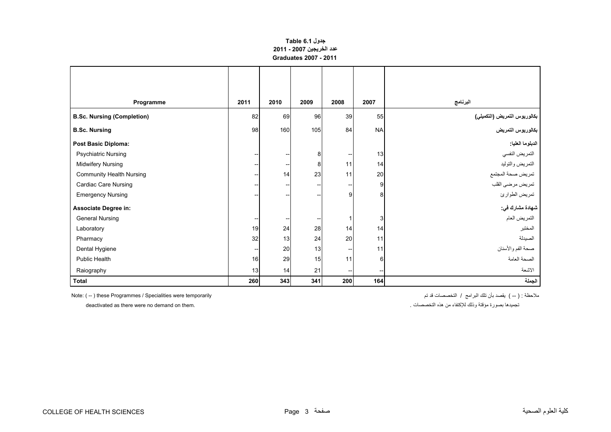### **جدول 6.1 Table عدد الخريجين 2007 - 2011 Graduates 2007 - 2011**

<span id="page-1-0"></span>

| Programme                         | 2011            | 2010                     | 2009                | 2008                                  | 2007      | البرنامج                     |
|-----------------------------------|-----------------|--------------------------|---------------------|---------------------------------------|-----------|------------------------------|
| <b>B.Sc. Nursing (Completion)</b> | 82              | 69                       | 96                  | 39                                    | 55        | بكالوريوس التمريض (التكميلي) |
| <b>B.Sc. Nursing</b>              | 98              | 160                      | 105                 | 84                                    | <b>NA</b> | بكالوريوس التمريض            |
| <b>Post Basic Diploma:</b>        |                 |                          |                     |                                       |           | الدبلوما الطيا:              |
| <b>Psychiatric Nursing</b>        | --              | ÷                        | 8                   | $\hspace{0.05cm}$ – $\hspace{0.05cm}$ | 13        | التمريض النفسي               |
| <b>Midwifery Nursing</b>          |                 | $\hspace{0.05cm}$ –      | 8                   | 11                                    | 14        | التمريض والتوليد             |
| <b>Community Health Nursing</b>   | --              | 14                       | 23                  | 11                                    | 20        | تمريض صحة المجتمع            |
| Cardiac Care Nursing              | --              | $\overline{\phantom{a}}$ | --                  | --                                    | 9         | تمريض مرضى القلب             |
| <b>Emergency Nursing</b>          |                 | $-\!$                    | --                  | 9                                     | 8         | تمريض الطوارئ                |
| <b>Associate Degree in:</b>       |                 |                          |                     |                                       |           | شهادة مشارك في:              |
| <b>General Nursing</b>            | --              | $\overline{\phantom{a}}$ | $\hspace{0.05cm}$ – | 1                                     | 3         | التمريض العام                |
| Laboratory                        | 19              | 24                       | 28                  | 14                                    | 14        | المختبر                      |
| Pharmacy                          | 32              | 13                       | 24                  | 20                                    | 11        | الصيدلة                      |
| Dental Hygiene                    | --              | 20                       | 13                  | --                                    | 11        | صحة الفم والأسنان            |
| <b>Public Health</b>              | 16 <sup>1</sup> | 29                       | 15                  | 11                                    | 6         | الصحة العامة                 |
| Raiography                        | 13              | 14                       | 21                  | $\hspace{0.05cm}$ $\hspace{0.05cm}$   | --        | الاشعة                       |
| <b>Total</b>                      | 260             | 343                      | 341                 | 200                                   | 164       | الجملة                       |

ملاحظة : ( -- ) يقصد بأن تلك البرامج / التخصصات قد تم Note: ( -- ) these Programmes / Specialities were temporarily

تجميدھا بصورة مؤقتة وذلك لإلكتفاء من ھذه التخصصات . .them on demand no were there as deactivated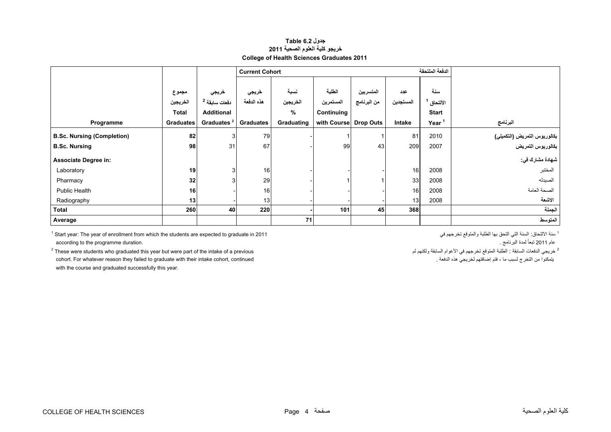#### **جدول 6.2 Table خريجو كلية العلوم الصحية <sup>2011</sup> College of Health Sciences Graduates 2011**

<span id="page-2-0"></span>

|                                   |                  |                          | <b>Current Cohort</b> |            |                       |             |           | الدفعة الملتحقة |                              |
|-----------------------------------|------------------|--------------------------|-----------------------|------------|-----------------------|-------------|-----------|-----------------|------------------------------|
|                                   |                  |                          |                       |            |                       |             |           |                 |                              |
|                                   | مجموع            | خريجي                    | خريجي                 | نسبة       | الطلبة                | المتسربين   | عدد       | سنة             |                              |
|                                   | الخريجين         | دفعات سابقة <sup>2</sup> | هذه الدفعة            | الخريجين   | المستمرين             | من البرنامج | المستجدين | الألتحاق        |                              |
|                                   | <b>Total</b>     | <b>Additional</b>        |                       | %          | Continuing            |             |           | <b>Start</b>    |                              |
| Programme                         | <b>Graduates</b> | Graduates <sup>2</sup>   | <b>Graduates</b>      | Graduating | with Course Drop Outs |             | Intake    | Year            | البرنامج                     |
| <b>B.Sc. Nursing (Completion)</b> | 82               | $\overline{3}$           | 79                    |            |                       |             | 81        | 2010            | بكالوريوس التمريض (التكميلي) |
| <b>B.Sc. Nursing</b>              | 98               | 31                       | 67                    |            | 99                    | 43          | 209       | 2007            | بكالوريوس التمريض            |
| <b>Associate Degree in:</b>       |                  |                          |                       |            |                       |             |           |                 | شهادة مشارك في:              |
| Laboratory                        | 19               | 3 <sup>1</sup>           | 16                    |            |                       |             | 16        | 2008            | المختبر                      |
| Pharmacy                          | 32               | 3                        | 29                    |            |                       |             | 33        | 2008            | الصيدله                      |
| Public Health                     | 16               |                          | 16                    |            |                       |             | 16        | 2008            | الصحة العامة                 |
| Radiography                       | 13               |                          | 13                    |            |                       |             | 13        | 2008            | الاشعة                       |
| Total                             | 260              | 40                       | 220                   |            | 101                   | 45          | 368       |                 | الجملة                       |
| Average                           |                  |                          |                       | 71         |                       |             |           |                 | المتوسط                      |

1 Start year: The year of enrollment from which the students are expected to graduate in 2011 في تخرجھم والمتوقع الطلبة بھا التحق التي السنة :االلتحاق سنة <sup>1</sup> عام 2011 تبعاً لمدة البرنامج .<br><sup>2</sup> خريجي المدة البرنامج المدة البرنامج المدة البرنامج المدة والتي تبعيد في الأعوام السابقة ولكنيم لم السابقة والمدير<br><sup>2</sup> خريجي الدفعات السابقة : الطلبة المتوقع تخرجهم في الأعوام السابقة ولك

 $^{2}$  These were students who graduated this year but were part of the intake of a previous cohort. For whatever reason they failed to graduate with their intake cohort, continued . الدفعة ھذه لخريجي إضافتھم فتم ، ما لسبب التخرج من يتمكنوا with the course and graduated successfully this year.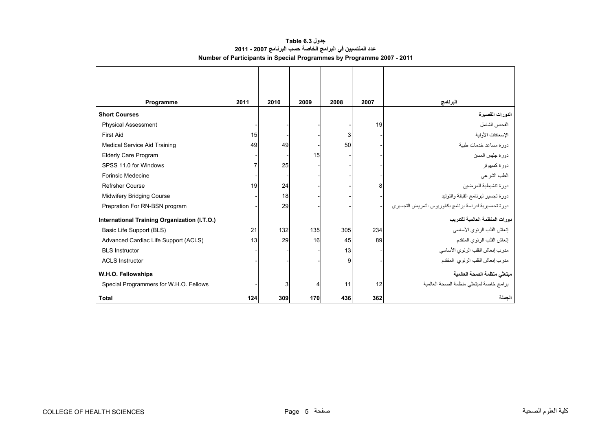### **جدول 6.3 Table عدد المنتسبين في البرامج الخاصة حسب البرنامج 2007 - 2011 Number of Participants in Special Programmes by Programme 2007 - 2011**

<span id="page-3-0"></span>

| Programme                                    | 2011 | 2010 | 2009 | 2008 | 2007 | البرنامج                                              |
|----------------------------------------------|------|------|------|------|------|-------------------------------------------------------|
| <b>Short Courses</b>                         |      |      |      |      |      | الدور ات القصير ة                                     |
| <b>Physical Assessment</b>                   |      |      |      |      | 19   | الفحص الشامل                                          |
| <b>First Aid</b>                             | 15   |      |      | 3    |      | الإسعافات الأولية                                     |
| <b>Medical Service Aid Training</b>          | 49   | 49   |      | 50   |      | دورة مساعد خدمات طببة                                 |
| <b>Elderly Care Program</b>                  |      |      | 15   |      |      | دورة جليس المسن                                       |
| SPSS 11.0 for Windows                        | 7    | 25   |      |      |      | دورة كمبيوتر                                          |
| <b>Forinsic Medecine</b>                     |      |      |      |      |      | الطب الشر عي                                          |
| <b>Refrsher Course</b>                       | 19   | 24   |      |      | 8    | دورة تتشيطية للمرضين                                  |
| <b>Midwifery Bridging Course</b>             |      | 18   |      |      |      | دورة تجسير لبرنامج القبالة والتوليد                   |
| Prepration For RN-BSN program                |      | 29   |      |      |      | دورة تحضيرية لدراسة برنامج بكالوريوس التمريض التجسيري |
| International Training Organization (I.T.O.) |      |      |      |      |      | دور ات المنظمة العالمية للتدريب                       |
| Basic Life Support (BLS)                     | 21   | 132  | 135  | 305  | 234  | إنعاش القلب الرئوي الأساسى                            |
| Advanced Cardiac Life Support (ACLS)         | 13   | 29   | 16   | 45   | 89   | إنعاش القلب الرئوي المتقدم                            |
| <b>BLS</b> Instructor                        |      |      |      | 13   |      | مدرب إنعاش القلب الرئوي الأساسى                       |
| <b>ACLS Instructor</b>                       |      |      |      | 9    |      | مدرب إنعاش القلب الرئوي المتقدم                       |
| W.H.O. Fellowships                           |      |      |      |      |      | مبتعثي منظمة الصحة العالمية                           |
| Special Programmers for W.H.O. Fellows       |      | 3    | 4    | 11   | 12   | برامج خاصة لمبتعثي منظمة الصحة العالمية               |
| <b>Total</b>                                 | 124  | 309  | 170  | 436  | 362  | الحملة                                                |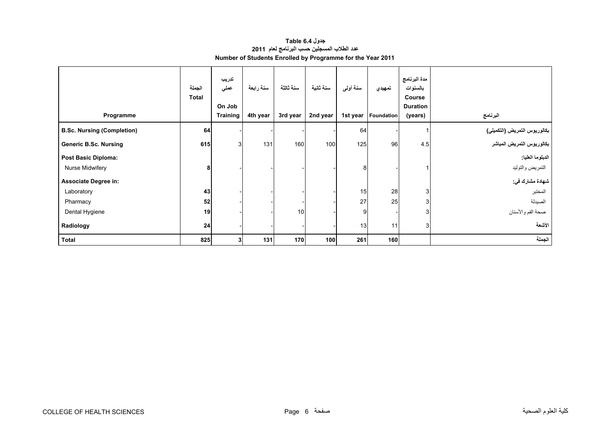## **جدول 6.4 Table عدد الطالب المسجلين حسب البرنامج لعام <sup>2011</sup> Number of Students Enrolled by Programme for the Year 2011**

<span id="page-4-0"></span>

| Programme                         | الجملة<br><b>Total</b> | تدريب<br>عملى<br>On Job<br><b>Training</b> | سنة رابعة<br>4th year | سنة ثالثة<br>3rd year | سنة ثانية<br>2nd year | سنة أولمي<br>1st year | تمهيدي<br>Foundation | مدة البرنامج<br>بالسنوات<br>Course<br><b>Duration</b><br>(years) | البرنامج                     |
|-----------------------------------|------------------------|--------------------------------------------|-----------------------|-----------------------|-----------------------|-----------------------|----------------------|------------------------------------------------------------------|------------------------------|
| <b>B.Sc. Nursing (Completion)</b> | 64                     |                                            |                       |                       |                       | 64                    |                      |                                                                  | بكالوريوس التمريض (التكميلي) |
| <b>Generic B.Sc. Nursing</b>      | 615                    | 3                                          | 131                   | 160                   | 100                   | 125                   | 96                   | 4.5                                                              | بكالوريوس التمريض المباشر    |
| <b>Post Basic Diploma:</b>        |                        |                                            |                       |                       |                       |                       |                      |                                                                  | الدبلوما العليا:             |
| Nurse Midwifery                   | 8                      |                                            |                       |                       |                       | 8                     |                      |                                                                  | التمريض والتوليد             |
| <b>Associate Degree in:</b>       |                        |                                            |                       |                       |                       |                       |                      |                                                                  | شهادة مشارك في:              |
| Laboratory                        | 43                     |                                            |                       |                       |                       | 15                    | 28                   | 3                                                                | المختبر                      |
| Pharmacy                          | 52                     |                                            |                       |                       |                       | 27                    | 25                   | 3                                                                | الصيدلة                      |
| Dental Hygiene                    | 19                     |                                            |                       | 10                    |                       | 9                     |                      | 3                                                                | صحة الفم والأسنان            |
| Radiology                         | 24                     |                                            |                       |                       |                       | 13                    | 11                   | 3                                                                | الأشعة                       |
| <b>Total</b>                      | 825                    | 3 <sup>1</sup>                             | 131                   | 170                   | 100                   | 261                   | 160                  |                                                                  | الجملة                       |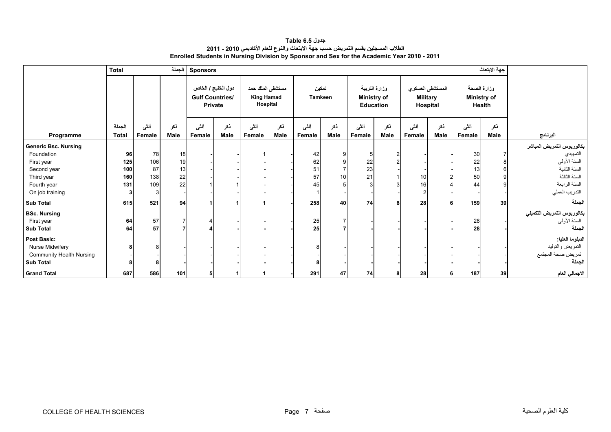**جدول 6.5 Table الطالب المسجلين بقسم التمريض حسب جھة االبتعاث والنوع للعام األكاديمي 2010 - 2011 Enrolled Students in Nursing Division by Sponsor and Sex for the Academic Year 2010 - 2011** 

<span id="page-5-0"></span>

|                                                                                                                                                       | <b>Total</b>                   |                               | الجملة                     | <b>Sponsors</b>        |                                      |                                                   |             |                            |                                |                                                  |                    |                                                 |             |                                             | جهة الابتعاث |                                                                                                                              |
|-------------------------------------------------------------------------------------------------------------------------------------------------------|--------------------------------|-------------------------------|----------------------------|------------------------|--------------------------------------|---------------------------------------------------|-------------|----------------------------|--------------------------------|--------------------------------------------------|--------------------|-------------------------------------------------|-------------|---------------------------------------------|--------------|------------------------------------------------------------------------------------------------------------------------------|
|                                                                                                                                                       |                                |                               |                            | <b>Gulf Countries/</b> | دول الخليج / الخاص<br><b>Private</b> | مستشفى الملك حمد<br><b>King Hamad</b><br>Hospital |             | تمكين<br><b>Tamkeen</b>    |                                | وزارة التربية<br>Ministry of<br><b>Education</b> |                    | المستشفى العسكري<br><b>Military</b><br>Hospital |             | وزارة الصحة<br><b>Ministry of</b><br>Health |              |                                                                                                                              |
| Programme                                                                                                                                             | الجملة<br><b>Total</b>         | أنشى<br>Female                | ذكر<br><b>Male</b>         | أنشى<br>Female         | نكر<br>Male                          | أنثى<br>Female                                    | ذكر<br>Male | أنشى<br>Female             | ذكر<br><b>Male</b>             | أننى<br>Female                                   | ذكر<br><b>Male</b> | أننى<br>Female                                  | ذكر<br>Male | أننى<br>Female                              | ذكر<br>Male  | البرنامج                                                                                                                     |
| <b>Generic Bsc. Nursing</b><br>Foundation<br>First year<br>Second year<br>Third year<br>Fourth year<br>On job training                                | 96<br>125<br>100<br>160<br>131 | 78<br>106<br>87<br>138<br>109 | 18<br>19<br>13<br>22<br>22 |                        |                                      |                                                   |             | 42<br>62<br>51<br>57<br>45 | 9<br>9<br>$\overline{7}$<br>10 | 22<br>23<br>21                                   |                    | 10<br>16                                        |             | 30<br>22<br>13<br>50<br>44                  |              | بكالوريوس التمريض المباشر<br>التمهيدي<br>السنة الأولى<br>السنة الثانية<br>السنة الثالثة<br>السنة الرابعة<br>التدريب العملي   |
| <b>Sub Total</b>                                                                                                                                      | 615                            | 521                           | 94                         |                        |                                      |                                                   |             | 258                        | 40                             | 74                                               | 8                  | 28                                              |             | 159                                         | 39           | الجملة                                                                                                                       |
| <b>BSc. Nursing</b><br>First year<br><b>Sub Total</b><br><b>Post Basic:</b><br>Nurse Midwifery<br><b>Community Health Nursing</b><br><b>Sub Total</b> | 64<br>64<br>8                  | 57<br>57                      |                            |                        |                                      |                                                   |             | 25<br>25                   |                                |                                                  |                    |                                                 |             | 28<br>28                                    |              | بكالوريوس التمريض التكميلي<br>السنة الأولىي<br>الجملة<br>الدبلوما العليا:<br>التمريض والتوليد<br>تمريض صحة المجتمع<br>الجملة |
| <b>Grand Total</b>                                                                                                                                    | 687                            | 586                           | 101                        |                        | 1                                    |                                                   |             | 291                        | 47                             | 74                                               | 8                  | 28                                              | 6           | 187                                         | 39           | الاجمالي العام                                                                                                               |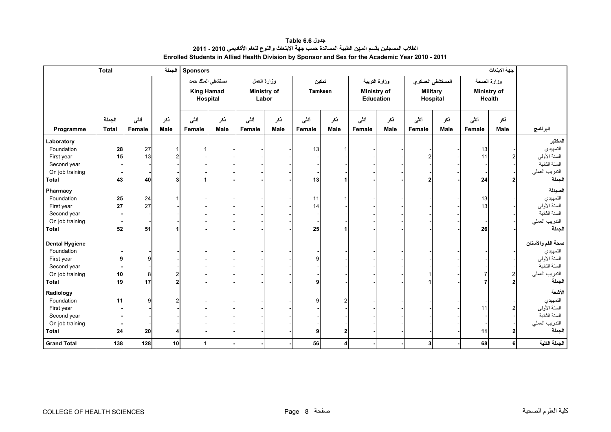<span id="page-6-0"></span>

|                                                                                                     | <b>Total</b>           |                 | الجملة             | <b>Sponsors</b>   |                              |                |                                            |                |                    |                |                                                  |                 |                              |                | جهة الابتعاث                                |                                                                                            |
|-----------------------------------------------------------------------------------------------------|------------------------|-----------------|--------------------|-------------------|------------------------------|----------------|--------------------------------------------|----------------|--------------------|----------------|--------------------------------------------------|-----------------|------------------------------|----------------|---------------------------------------------|--------------------------------------------------------------------------------------------|
|                                                                                                     |                        |                 |                    | <b>King Hamad</b> | مستشفى الملك حمد<br>Hospital |                | وزارة الععل<br><b>Ministry of</b><br>Labor |                | تمكين<br>Tamkeen   |                | وزارة التربية<br>Ministry of<br><b>Education</b> | <b>Military</b> | المستشفى العسكري<br>Hospital |                | وزارة الصحة<br><b>Ministry of</b><br>Health |                                                                                            |
| Programme                                                                                           | الجملة<br><b>Total</b> | أننسى<br>Female | نكر<br><b>Male</b> | أننى<br>Female    | نكر<br><b>Male</b>           | أنشى<br>Female | نكر<br>Male                                | أنشى<br>Female | ذكر<br><b>Male</b> | أنشى<br>Female | ذكر<br><b>Male</b>                               | أننى<br>Female  | نكر<br><b>Male</b>           | أننى<br>Female | نكر<br>Male                                 | البرنامج                                                                                   |
| Laboratory<br>Foundation<br>First year<br>Second year<br>On job training<br>Total                   | 28<br>15<br>43         | 27<br>13<br>40  | 3                  |                   |                              |                |                                            | 13<br>13       |                    |                |                                                  |                 |                              | 13<br>11<br>24 |                                             | المختبر<br>التمهيدي<br>السنة الأولىي<br>السنة الثانية<br>التدريب العملي<br>الجملة          |
| Pharmacy<br>Foundation<br>First year<br>Second year<br>On job training<br><b>Total</b>              | 25<br>27<br>52         | 24<br>27<br>51  |                    |                   |                              |                |                                            | 11<br>14<br>25 |                    |                |                                                  |                 |                              | 13<br>13<br>26 |                                             | الصيدلة<br>التمهيدي<br>السنة الأولىي<br>السنة الثانية<br>التدريب العملي<br>الجملة          |
| <b>Dental Hygiene</b><br>Foundation<br>First year<br>Second year<br>On job training<br><b>Total</b> | 10<br>19               | 8<br>17         | 2<br>2             |                   |                              |                |                                            | q              |                    |                |                                                  |                 |                              |                |                                             | صحة الفم والأسنان<br>التمهيدي<br>السنة الأولى<br>السنة الثانية<br>التدريب العملي<br>الجملة |
| Radiology<br>Foundation<br>First year<br>Second year<br>On job training<br><b>Total</b>             | 11<br>24               | a<br>20         |                    |                   |                              |                |                                            | 9              |                    |                |                                                  |                 |                              | 11<br>11       |                                             | الأشعة<br>التمهيدي<br>السنة الأولىي<br>السنة الثانية<br>التدريب العملي<br>الجملة           |
| <b>Grand Total</b>                                                                                  | 138                    | 128             | 10                 | $\mathbf{1}$      |                              |                |                                            | 56             | Δ                  |                |                                                  | 3 <sup>l</sup>  |                              | 68             | 6                                           | الجملة الكلية                                                                              |

**جدول 6.6 Table الطالب المسجلين بقسم المھن الطبية المساندة حسب جھة االبتعاث والنوع للعام األكاديمي 2010 - 2011 Enrolled Students in Allied Health Division by Sponsor and Sex for the Academic Year 2010 - 2011**